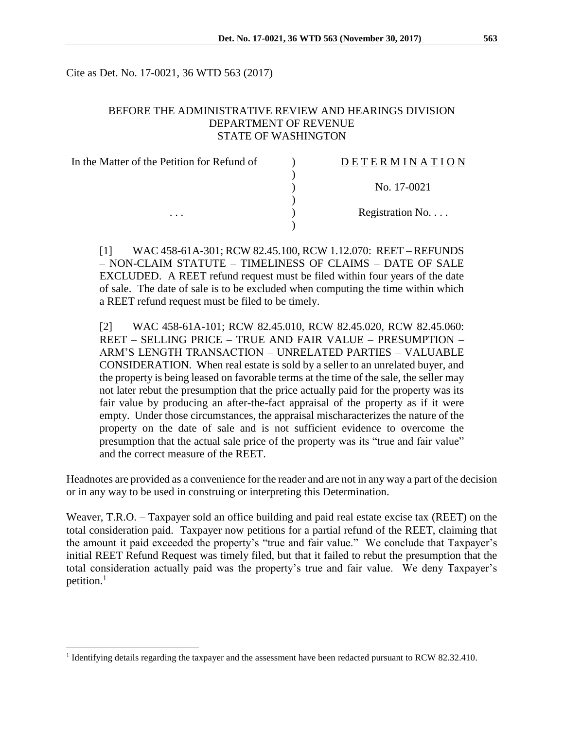Cite as Det. No. 17-0021, 36 WTD 563 (2017)

#### BEFORE THE ADMINISTRATIVE REVIEW AND HEARINGS DIVISION DEPARTMENT OF REVENUE STATE OF WASHINGTON

| In the Matter of the Petition for Refund of | DETERMINATION    |
|---------------------------------------------|------------------|
|                                             |                  |
|                                             | No. 17-0021      |
|                                             |                  |
| $\cdots$                                    |                  |
|                                             | Registration No. |

[1] WAC 458-61A-301; RCW 82.45.100, RCW 1.12.070: REET – REFUNDS – NON-CLAIM STATUTE – TIMELINESS OF CLAIMS – DATE OF SALE EXCLUDED. A REET refund request must be filed within four years of the date of sale. The date of sale is to be excluded when computing the time within which a REET refund request must be filed to be timely.

[2] WAC 458-61A-101; RCW 82.45.010, RCW 82.45.020, RCW 82.45.060: REET – SELLING PRICE – TRUE AND FAIR VALUE – PRESUMPTION – ARM'S LENGTH TRANSACTION – UNRELATED PARTIES – VALUABLE CONSIDERATION. When real estate is sold by a seller to an unrelated buyer, and the property is being leased on favorable terms at the time of the sale, the seller may not later rebut the presumption that the price actually paid for the property was its fair value by producing an after-the-fact appraisal of the property as if it were empty. Under those circumstances, the appraisal mischaracterizes the nature of the property on the date of sale and is not sufficient evidence to overcome the presumption that the actual sale price of the property was its "true and fair value" and the correct measure of the REET.

Headnotes are provided as a convenience for the reader and are not in any way a part of the decision or in any way to be used in construing or interpreting this Determination.

Weaver, T.R.O. – Taxpayer sold an office building and paid real estate excise tax (REET) on the total consideration paid. Taxpayer now petitions for a partial refund of the REET, claiming that the amount it paid exceeded the property's "true and fair value." We conclude that Taxpayer's initial REET Refund Request was timely filed, but that it failed to rebut the presumption that the total consideration actually paid was the property's true and fair value. We deny Taxpayer's petition.<sup>1</sup>

 $\overline{a}$ 

<sup>&</sup>lt;sup>1</sup> Identifying details regarding the taxpayer and the assessment have been redacted pursuant to RCW 82.32.410.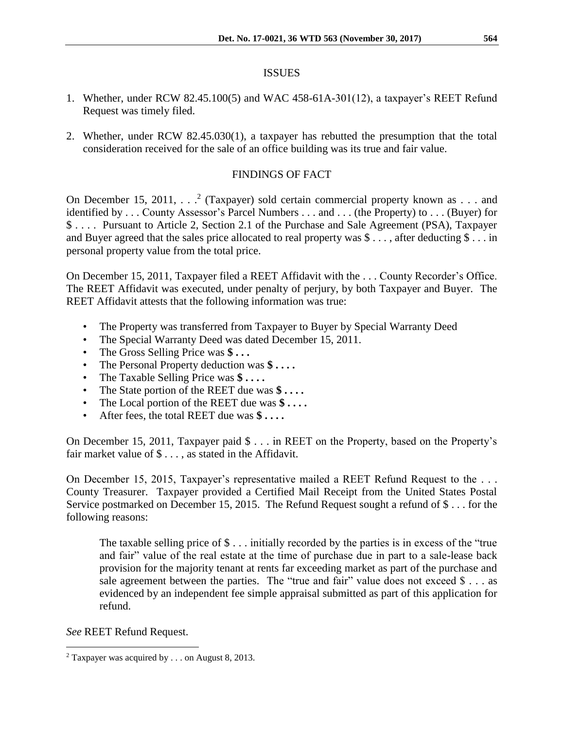#### ISSUES

- 1. Whether, under RCW 82.45.100(5) and WAC 458-61A-301(12), a taxpayer's REET Refund Request was timely filed.
- 2. Whether, under RCW 82.45.030(1), a taxpayer has rebutted the presumption that the total consideration received for the sale of an office building was its true and fair value.

#### FINDINGS OF FACT

On December 15, 2011,  $\ldots$ <sup>2</sup> (Taxpayer) sold certain commercial property known as  $\ldots$  and identified by . . . County Assessor's Parcel Numbers . . . and . . . (the Property) to . . . (Buyer) for \$ . . . . Pursuant to Article 2, Section 2.1 of the Purchase and Sale Agreement (PSA), Taxpayer and Buyer agreed that the sales price allocated to real property was \$ . . . , after deducting \$ . . . in personal property value from the total price.

On December 15, 2011, Taxpayer filed a REET Affidavit with the . . . County Recorder's Office. The REET Affidavit was executed, under penalty of perjury, by both Taxpayer and Buyer. The REET Affidavit attests that the following information was true:

- The Property was transferred from Taxpayer to Buyer by Special Warranty Deed
- The Special Warranty Deed was dated December 15, 2011.
- The Gross Selling Price was **\$ . . .**
- The Personal Property deduction was **\$ . . . .**
- The Taxable Selling Price was **\$ . . . .**
- The State portion of the REET due was **\$ . . . .**
- The Local portion of the REET due was **\$ . . . .**
- After fees, the total REET due was **\$ . . . .**

On December 15, 2011, Taxpayer paid \$ . . . in REET on the Property, based on the Property's fair market value of  $\$\ldots$$ , as stated in the Affidavit.

On December 15, 2015, Taxpayer's representative mailed a REET Refund Request to the . . . County Treasurer. Taxpayer provided a Certified Mail Receipt from the United States Postal Service postmarked on December 15, 2015. The Refund Request sought a refund of \$ . . . for the following reasons:

The taxable selling price of \$ . . . initially recorded by the parties is in excess of the "true and fair" value of the real estate at the time of purchase due in part to a sale-lease back provision for the majority tenant at rents far exceeding market as part of the purchase and sale agreement between the parties. The "true and fair" value does not exceed  $\$ ... as evidenced by an independent fee simple appraisal submitted as part of this application for refund.

*See* REET Refund Request.

 $\overline{a}$ 

<sup>2</sup> Taxpayer was acquired by . . . on August 8, 2013.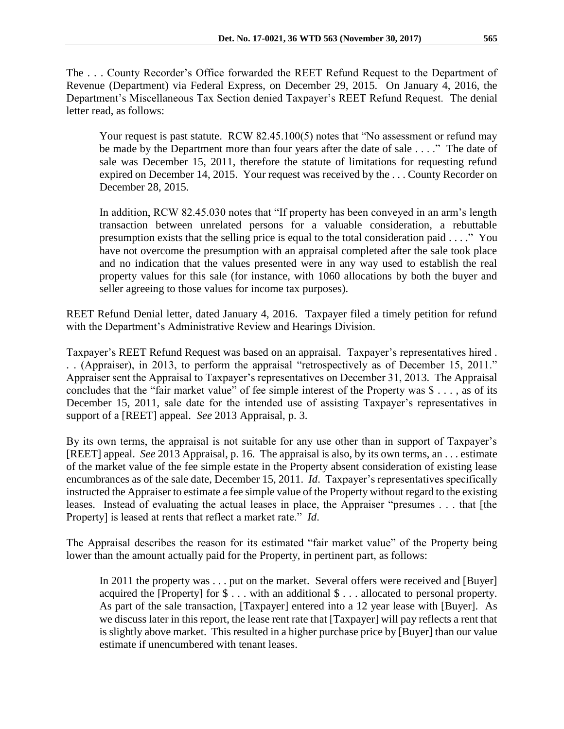The . . . County Recorder's Office forwarded the REET Refund Request to the Department of Revenue (Department) via Federal Express, on December 29, 2015. On January 4, 2016, the Department's Miscellaneous Tax Section denied Taxpayer's REET Refund Request. The denial letter read, as follows:

Your request is past statute. RCW 82.45.100(5) notes that "No assessment or refund may be made by the Department more than four years after the date of sale . . . ." The date of sale was December 15, 2011, therefore the statute of limitations for requesting refund expired on December 14, 2015. Your request was received by the . . . County Recorder on December 28, 2015.

In addition, RCW 82.45.030 notes that "If property has been conveyed in an arm's length transaction between unrelated persons for a valuable consideration, a rebuttable presumption exists that the selling price is equal to the total consideration paid . . . ." You have not overcome the presumption with an appraisal completed after the sale took place and no indication that the values presented were in any way used to establish the real property values for this sale (for instance, with 1060 allocations by both the buyer and seller agreeing to those values for income tax purposes).

REET Refund Denial letter, dated January 4, 2016. Taxpayer filed a timely petition for refund with the Department's Administrative Review and Hearings Division.

Taxpayer's REET Refund Request was based on an appraisal. Taxpayer's representatives hired . . . (Appraiser), in 2013, to perform the appraisal "retrospectively as of December 15, 2011." Appraiser sent the Appraisal to Taxpayer's representatives on December 31, 2013. The Appraisal concludes that the "fair market value" of fee simple interest of the Property was \$ . . . , as of its December 15, 2011, sale date for the intended use of assisting Taxpayer's representatives in support of a [REET] appeal. *See* 2013 Appraisal, p. 3.

By its own terms, the appraisal is not suitable for any use other than in support of Taxpayer's [REET] appeal. *See* 2013 Appraisal, p. 16. The appraisal is also, by its own terms, an . . . estimate of the market value of the fee simple estate in the Property absent consideration of existing lease encumbrances as of the sale date, December 15, 2011. *Id*. Taxpayer's representatives specifically instructed the Appraiser to estimate a fee simple value of the Property without regard to the existing leases. Instead of evaluating the actual leases in place, the Appraiser "presumes . . . that [the Property] is leased at rents that reflect a market rate." *Id*.

The Appraisal describes the reason for its estimated "fair market value" of the Property being lower than the amount actually paid for the Property, in pertinent part, as follows:

In 2011 the property was . . . put on the market. Several offers were received and [Buyer] acquired the [Property] for \$ . . . with an additional \$ . . . allocated to personal property. As part of the sale transaction, [Taxpayer] entered into a 12 year lease with [Buyer]. As we discuss later in this report, the lease rent rate that [Taxpayer] will pay reflects a rent that is slightly above market. This resulted in a higher purchase price by [Buyer] than our value estimate if unencumbered with tenant leases.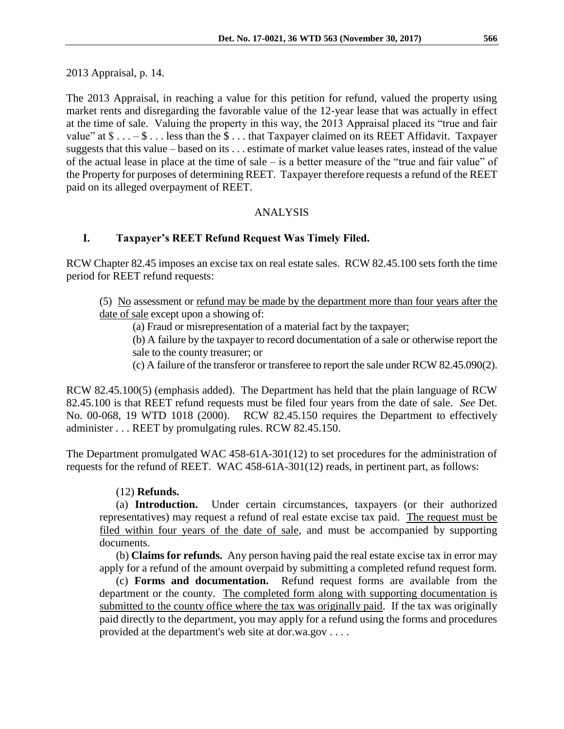2013 Appraisal, p. 14.

The 2013 Appraisal, in reaching a value for this petition for refund, valued the property using market rents and disregarding the favorable value of the 12-year lease that was actually in effect at the time of sale. Valuing the property in this way, the 2013 Appraisal placed its "true and fair value" at  $\$\ldots -\$\ldots$  less than the  $\$\ldots$  that Taxpayer claimed on its REET Affidavit. Taxpayer suggests that this value – based on its . . . estimate of market value leases rates, instead of the value of the actual lease in place at the time of sale – is a better measure of the "true and fair value" of the Property for purposes of determining REET. Taxpayer therefore requests a refund of the REET paid on its alleged overpayment of REET.

# ANALYSIS

# **I. Taxpayer's REET Refund Request Was Timely Filed.**

RCW Chapter 82.45 imposes an excise tax on real estate sales. RCW 82.45.100 sets forth the time period for REET refund requests:

- (5) No assessment or refund may be made by the department more than four years after the date of sale except upon a showing of:
	- (a) Fraud or misrepresentation of a material fact by the taxpayer;
	- (b) A failure by the taxpayer to record documentation of a sale or otherwise report the sale to the county treasurer; or
	- (c) A failure of the transferor or transferee to report the sale under RCW 82.45.090(2).

RCW 82.45.100(5) (emphasis added). The Department has held that the plain language of RCW 82.45.100 is that REET refund requests must be filed four years from the date of sale. *See* Det. No. 00-068, 19 WTD 1018 (2000). RCW 82.45.150 requires the Department to effectively administer . . . REET by promulgating rules. RCW 82.45.150.

The Department promulgated WAC 458-61A-301(12) to set procedures for the administration of requests for the refund of REET. WAC 458-61A-301(12) reads, in pertinent part, as follows:

# (12) **Refunds.**

(a) **Introduction.** Under certain circumstances, taxpayers (or their authorized representatives) may request a refund of real estate excise tax paid. The request must be filed within four years of the date of sale, and must be accompanied by supporting documents.

(b) **Claims for refunds.** Any person having paid the real estate excise tax in error may apply for a refund of the amount overpaid by submitting a completed refund request form.

(c) **Forms and documentation.** Refund request forms are available from the department or the county. The completed form along with supporting documentation is submitted to the county office where the tax was originally paid. If the tax was originally paid directly to the department, you may apply for a refund using the forms and procedures provided at the department's web site at dor.wa.gov . . . .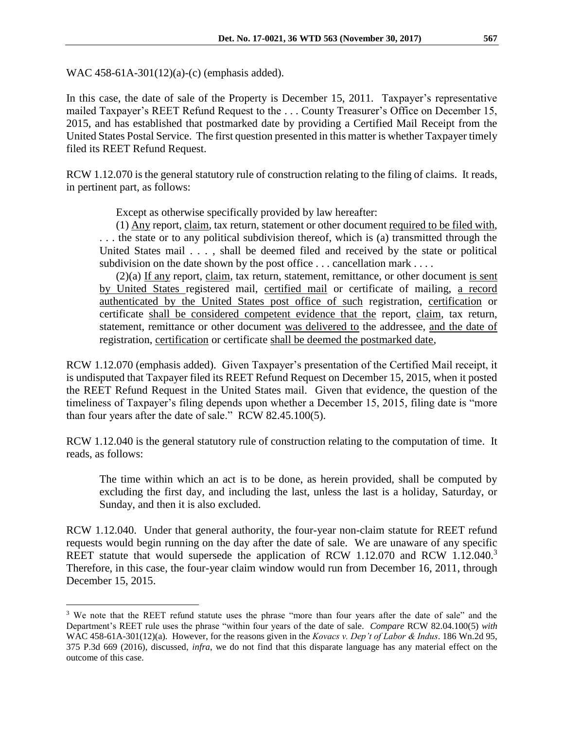WAC 458-61A-301(12)(a)-(c) (emphasis added).

 $\overline{a}$ 

In this case, the date of sale of the Property is December 15, 2011. Taxpayer's representative mailed Taxpayer's REET Refund Request to the . . . County Treasurer's Office on December 15, 2015, and has established that postmarked date by providing a Certified Mail Receipt from the United States Postal Service. The first question presented in this matter is whether Taxpayer timely filed its REET Refund Request.

RCW 1.12.070 is the general statutory rule of construction relating to the filing of claims. It reads, in pertinent part, as follows:

Except as otherwise specifically provided by law hereafter:

(1) Any report, claim, tax return, statement or other document required to be filed with, . . . the state or to any political subdivision thereof, which is (a) transmitted through the United States mail . . . , shall be deemed filed and received by the state or political subdivision on the date shown by the post office . . . cancellation mark . . . .

(2)(a) If any report, claim, tax return, statement, remittance, or other document is sent by United States registered mail, certified mail or certificate of mailing, a record authenticated by the United States post office of such registration, certification or certificate shall be considered competent evidence that the report, claim, tax return, statement, remittance or other document was delivered to the addressee, and the date of registration, certification or certificate shall be deemed the postmarked date,

RCW 1.12.070 (emphasis added). Given Taxpayer's presentation of the Certified Mail receipt, it is undisputed that Taxpayer filed its REET Refund Request on December 15, 2015, when it posted the REET Refund Request in the United States mail. Given that evidence, the question of the timeliness of Taxpayer's filing depends upon whether a December 15, 2015, filing date is "more than four years after the date of sale." RCW 82.45.100(5).

RCW 1.12.040 is the general statutory rule of construction relating to the computation of time. It reads, as follows:

The time within which an act is to be done, as herein provided, shall be computed by excluding the first day, and including the last, unless the last is a holiday, Saturday, or Sunday, and then it is also excluded.

RCW 1.12.040. Under that general authority, the four-year non-claim statute for REET refund requests would begin running on the day after the date of sale. We are unaware of any specific REET statute that would supersede the application of RCW 1.12.070 and RCW 1.12.040.<sup>3</sup> Therefore, in this case, the four-year claim window would run from December 16, 2011, through December 15, 2015.

<sup>&</sup>lt;sup>3</sup> We note that the REET refund statute uses the phrase "more than four years after the date of sale" and the Department's REET rule uses the phrase "within four years of the date of sale. *Compare* RCW 82.04.100(5) *with* WAC 458-61A-301(12)(a). However, for the reasons given in the *Kovacs v. Dep't of Labor & Indus*. 186 Wn.2d 95, 375 P.3d 669 (2016), discussed, *infra*, we do not find that this disparate language has any material effect on the outcome of this case.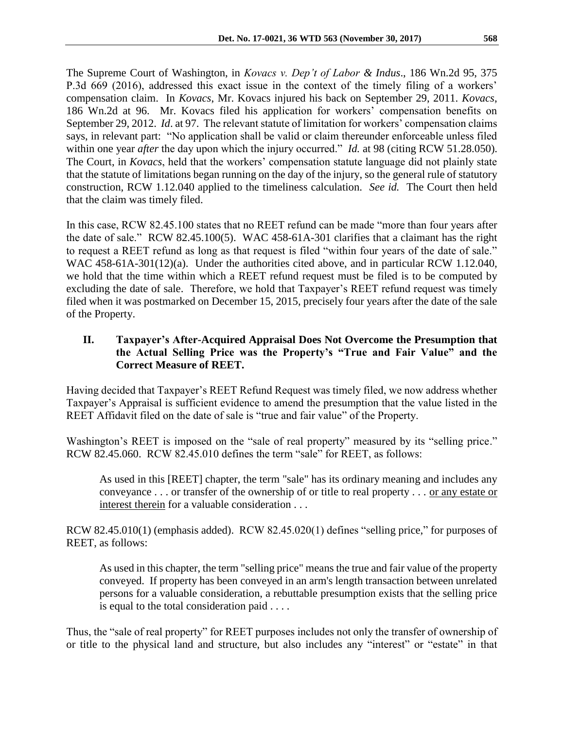The Supreme Court of Washington, in *Kovacs v. Dep't of Labor & Indus*., 186 Wn.2d 95, 375 P.3d 669 (2016), addressed this exact issue in the context of the timely filing of a workers' compensation claim. In *Kovacs*, Mr. Kovacs injured his back on September 29, 2011. *Kovacs*, 186 Wn.2d at 96. Mr. Kovacs filed his application for workers' compensation benefits on September 29, 2012. *Id*. at 97. The relevant statute of limitation for workers' compensation claims says, in relevant part: "No application shall be valid or claim thereunder enforceable unless filed within one year *after* the day upon which the injury occurred." *Id.* at 98 (citing RCW 51.28.050). The Court, in *Kovacs*, held that the workers' compensation statute language did not plainly state that the statute of limitations began running on the day of the injury, so the general rule of statutory construction, RCW 1.12.040 applied to the timeliness calculation. *See id.* The Court then held that the claim was timely filed.

In this case, RCW 82.45.100 states that no REET refund can be made "more than four years after the date of sale." RCW 82.45.100(5). WAC 458-61A-301 clarifies that a claimant has the right to request a REET refund as long as that request is filed "within four years of the date of sale." WAC 458-61A-301(12)(a). Under the authorities cited above, and in particular RCW 1.12.040, we hold that the time within which a REET refund request must be filed is to be computed by excluding the date of sale. Therefore, we hold that Taxpayer's REET refund request was timely filed when it was postmarked on December 15, 2015, precisely four years after the date of the sale of the Property.

# **II. Taxpayer's After-Acquired Appraisal Does Not Overcome the Presumption that the Actual Selling Price was the Property's "True and Fair Value" and the Correct Measure of REET.**

Having decided that Taxpayer's REET Refund Request was timely filed, we now address whether Taxpayer's Appraisal is sufficient evidence to amend the presumption that the value listed in the REET Affidavit filed on the date of sale is "true and fair value" of the Property.

Washington's REET is imposed on the "sale of real property" measured by its "selling price." RCW 82.45.060. RCW 82.45.010 defines the term "sale" for REET, as follows:

As used in this [REET] chapter, the term "sale" has its ordinary meaning and includes any conveyance . . . or transfer of the ownership of or title to real property . . . or any estate or interest therein for a valuable consideration . . .

RCW 82.45.010(1) (emphasis added). RCW 82.45.020(1) defines "selling price," for purposes of REET, as follows:

As used in this chapter, the term "selling price" means the true and fair value of the property conveyed. If property has been conveyed in an arm's length transaction between unrelated persons for a valuable consideration, a rebuttable presumption exists that the selling price is equal to the total consideration paid . . . .

Thus, the "sale of real property" for REET purposes includes not only the transfer of ownership of or title to the physical land and structure, but also includes any "interest" or "estate" in that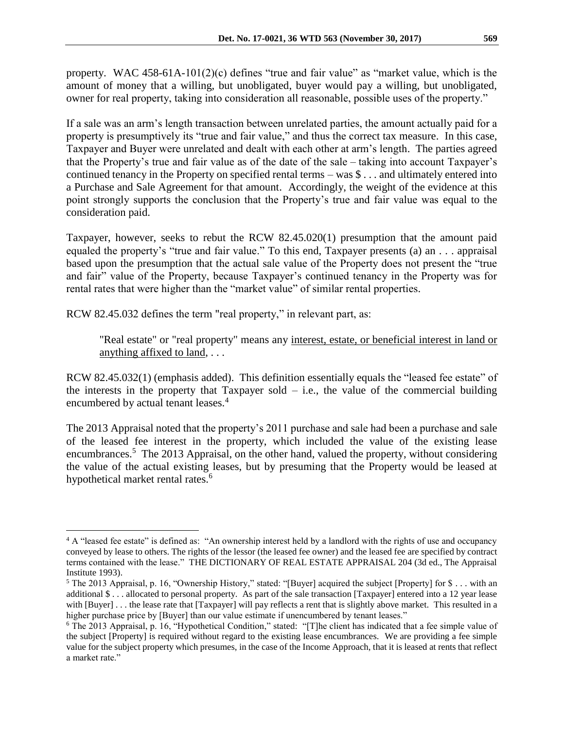property. WAC 458-61A-101(2)(c) defines "true and fair value" as "market value, which is the amount of money that a willing, but unobligated, buyer would pay a willing, but unobligated, owner for real property, taking into consideration all reasonable, possible uses of the property."

If a sale was an arm's length transaction between unrelated parties, the amount actually paid for a property is presumptively its "true and fair value," and thus the correct tax measure. In this case, Taxpayer and Buyer were unrelated and dealt with each other at arm's length. The parties agreed that the Property's true and fair value as of the date of the sale – taking into account Taxpayer's continued tenancy in the Property on specified rental terms – was \$ . . . and ultimately entered into a Purchase and Sale Agreement for that amount. Accordingly, the weight of the evidence at this point strongly supports the conclusion that the Property's true and fair value was equal to the consideration paid.

Taxpayer, however, seeks to rebut the RCW 82.45.020(1) presumption that the amount paid equaled the property's "true and fair value." To this end, Taxpayer presents (a) an . . . appraisal based upon the presumption that the actual sale value of the Property does not present the "true and fair" value of the Property, because Taxpayer's continued tenancy in the Property was for rental rates that were higher than the "market value" of similar rental properties.

RCW 82.45.032 defines the term "real property," in relevant part, as:

 $\overline{a}$ 

"Real estate" or "real property" means any interest, estate, or beneficial interest in land or anything affixed to land, . . .

RCW 82.45.032(1) (emphasis added). This definition essentially equals the "leased fee estate" of the interests in the property that Taxpayer sold  $-$  i.e., the value of the commercial building encumbered by actual tenant leases.<sup>4</sup>

The 2013 Appraisal noted that the property's 2011 purchase and sale had been a purchase and sale of the leased fee interest in the property, which included the value of the existing lease encumbrances.<sup>5</sup> The 2013 Appraisal, on the other hand, valued the property, without considering the value of the actual existing leases, but by presuming that the Property would be leased at hypothetical market rental rates.<sup>6</sup>

<sup>&</sup>lt;sup>4</sup> A "leased fee estate" is defined as: "An ownership interest held by a landlord with the rights of use and occupancy conveyed by lease to others. The rights of the lessor (the leased fee owner) and the leased fee are specified by contract terms contained with the lease." THE DICTIONARY OF REAL ESTATE APPRAISAL 204 (3d ed., The Appraisal Institute 1993).

<sup>5</sup> The 2013 Appraisal, p. 16, "Ownership History," stated: "[Buyer] acquired the subject [Property] for \$ . . . with an additional \$ . . . allocated to personal property. As part of the sale transaction [Taxpayer] entered into a 12 year lease with [Buyer] . . . the lease rate that [Taxpayer] will pay reflects a rent that is slightly above market. This resulted in a higher purchase price by [Buyer] than our value estimate if unencumbered by tenant leases."

<sup>6</sup> The 2013 Appraisal, p. 16, "Hypothetical Condition," stated: "[T]he client has indicated that a fee simple value of the subject [Property] is required without regard to the existing lease encumbrances. We are providing a fee simple value for the subject property which presumes, in the case of the Income Approach, that it is leased at rents that reflect a market rate."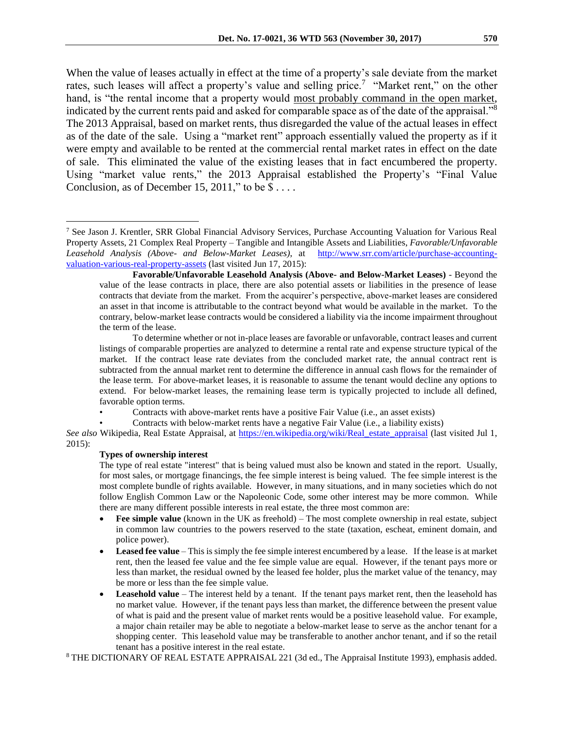When the value of leases actually in effect at the time of a property's sale deviate from the market rates, such leases will affect a property's value and selling price.<sup>7</sup> "Market rent," on the other hand, is "the rental income that a property would most probably command in the open market, indicated by the current rents paid and asked for comparable space as of the date of the appraisal."<sup>8</sup> The 2013 Appraisal, based on market rents, thus disregarded the value of the actual leases in effect as of the date of the sale. Using a "market rent" approach essentially valued the property as if it were empty and available to be rented at the commercial rental market rates in effect on the date of sale. This eliminated the value of the existing leases that in fact encumbered the property. Using "market value rents," the 2013 Appraisal established the Property's "Final Value Conclusion, as of December 15, 2011," to be  $\$\dots$ .

• Contracts with above-market rents have a positive Fair Value (i.e., an asset exists)

• Contracts with below-market rents have a negative Fair Value (i.e., a liability exists)

*See also* Wikipedia, Real Estate Appraisal, at [https://en.wikipedia.org/wiki/Real\\_estate\\_appraisal](https://en.wikipedia.org/wiki/Real_estate_appraisal) (last visited Jul 1, 2015):

#### **Types of ownership interest**

 $\overline{a}$ 

The type of real estate "interest" that is being valued must also be known and stated in the report. Usually, for most sales, or mortgage financings, the fee simple interest is being valued. The fee simple interest is the most complete bundle of rights available. However, in many situations, and in many societies which do not follow English Common Law or the Napoleonic Code, some other interest may be more common. While there are many different possible interests in real estate, the three most common are:

- **Fee simple value** (known in the UK as freehold) The most complete ownership in real estate, subject in common law countries to the powers reserved to the state (taxation, escheat, eminent domain, and police power).
- **Leased fee value** This is simply the fee simple interest encumbered by a lease. If the lease is at market rent, then the leased fee value and the fee simple value are equal. However, if the tenant pays more or less than market, the residual owned by the leased fee holder, plus the market value of the tenancy, may be more or less than the fee simple value.
- Leasehold value The interest held by a tenant. If the tenant pays market rent, then the leasehold has no market value. However, if the tenant pays less than market, the difference between the present value of what is paid and the present value of market rents would be a positive leasehold value. For example, a major chain retailer may be able to negotiate a below-market lease to serve as the anchor tenant for a shopping center. This leasehold value may be transferable to another anchor tenant, and if so the retail tenant has a positive interest in the real estate.

<sup>8</sup> THE DICTIONARY OF REAL ESTATE APPRAISAL 221 (3d ed., The Appraisal Institute 1993), emphasis added.

<sup>7</sup> See Jason J. Krentler, SRR Global Financial Advisory Services, Purchase Accounting Valuation for Various Real Property Assets, 21 Complex Real Property – Tangible and Intangible Assets and Liabilities, *Favorable/Unfavorable Leasehold Analysis (Above- and Below-Market Leases)*, at [http://www.srr.com/article/purchase-accounting](http://www.srr.com/article/purchase-accounting-valuation-various-real-property-assets)[valuation-various-real-property-assets](http://www.srr.com/article/purchase-accounting-valuation-various-real-property-assets) (last visited Jun 17, 2015):

**Favorable/Unfavorable Leasehold Analysis (Above- and Below-Market Leases)** - Beyond the value of the lease contracts in place, there are also potential assets or liabilities in the presence of lease contracts that deviate from the market. From the acquirer's perspective, above-market leases are considered an asset in that income is attributable to the contract beyond what would be available in the market. To the contrary, below-market lease contracts would be considered a liability via the income impairment throughout the term of the lease.

To determine whether or not in-place leases are favorable or unfavorable, contract leases and current listings of comparable properties are analyzed to determine a rental rate and expense structure typical of the market. If the contract lease rate deviates from the concluded market rate, the annual contract rent is subtracted from the annual market rent to determine the difference in annual cash flows for the remainder of the lease term. For above-market leases, it is reasonable to assume the tenant would decline any options to extend. For below-market leases, the remaining lease term is typically projected to include all defined, favorable option terms.